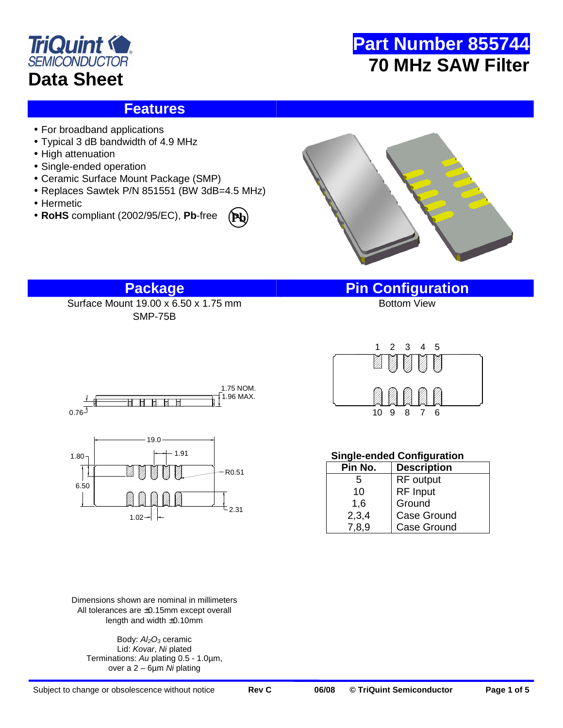



### **Features**

- For broadband applications
- Typical 3 dB bandwidth of 4.9 MHz
- High attenuation
- Single-ended operation
- Ceramic Surface Mount Package (SMP)
- Replaces Sawtek P/N 851551 (BW 3dB=4.5 MHz)

**Pb**

SMP-75B

- Hermetic
- **RoHS** compliant (2002/95/EC), **Pb**-free



## **Package Pin Configuration**

Surface Mount  $19.00 \times 6.50 \times 1.75$  mm





Dimensions shown are nominal in millimeters All tolerances are ±0.15mm except overall length and width ±0.10mm

Body: Al<sub>2</sub>O<sub>3</sub> ceramic Lid: Kovar, Ni plated Terminations: Au plating 0.5 - 1.0µm, over a  $2 - 6\mu m$  Ni plating



### **Single-ended Configuration**

| Pin No. | <b>Description</b> |  |
|---------|--------------------|--|
| 5       | RF output          |  |
| 10      | RF Input           |  |
| 1,6     | Ground             |  |
| 2,3,4   | Case Ground        |  |
| 7,8,9   | <b>Case Ground</b> |  |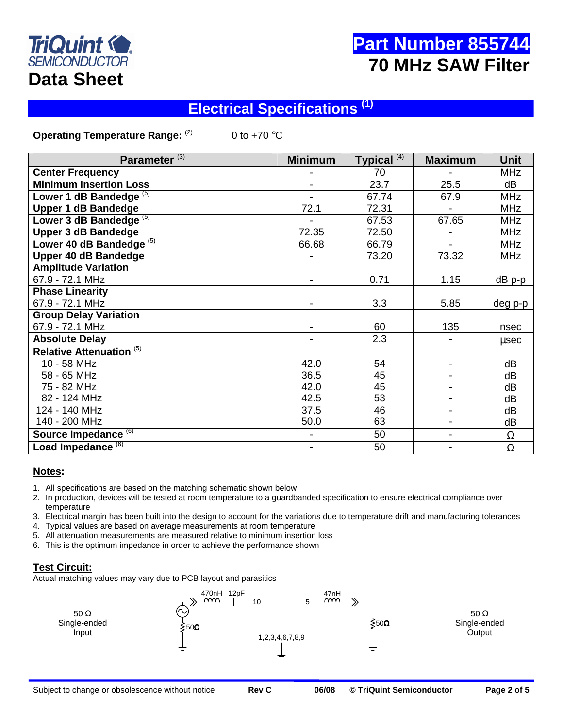

# **Part Number 855744 70 MHz SAW Filter**

# **Electrical Specifications (1)**

**Operating Temperature Range:** <sup>(2)</sup> 0 to +70 °C

| Parameter <sup>(3)</sup>            | <b>Minimum</b> | Typical <sup>(4)</sup> | <b>Maximum</b>           | <b>Unit</b> |
|-------------------------------------|----------------|------------------------|--------------------------|-------------|
| <b>Center Frequency</b>             |                | 70                     |                          | <b>MHz</b>  |
| <b>Minimum Insertion Loss</b>       |                | 23.7                   | 25.5                     | dB          |
| Lower 1 dB Bandedge <sup>(5)</sup>  |                | 67.74                  | 67.9                     | <b>MHz</b>  |
| <b>Upper 1 dB Bandedge</b>          | 72.1           | 72.31                  |                          | <b>MHz</b>  |
| Lower 3 dB Bandedge <sup>(5)</sup>  |                | 67.53                  | 67.65                    | <b>MHz</b>  |
| <b>Upper 3 dB Bandedge</b>          | 72.35          | 72.50                  |                          | <b>MHz</b>  |
| Lower 40 dB Bandedge <sup>(5)</sup> | 66.68          | 66.79                  | $\blacksquare$           | <b>MHz</b>  |
| Upper 40 dB Bandedge                |                | 73.20                  | 73.32                    | <b>MHz</b>  |
| <b>Amplitude Variation</b>          |                |                        |                          |             |
| 67.9 - 72.1 MHz                     |                | 0.71                   | 1.15                     | $dB$ $p-p$  |
| <b>Phase Linearity</b>              |                |                        |                          |             |
| 67.9 - 72.1 MHz                     |                | 3.3                    | 5.85                     | deg p-p     |
| <b>Group Delay Variation</b>        |                |                        |                          |             |
| 67.9 - 72.1 MHz                     |                | 60                     | 135                      | nsec        |
| <b>Absolute Delay</b>               |                | 2.3                    | $\overline{\phantom{a}}$ | usec        |
| <b>Relative Attenuation (5)</b>     |                |                        |                          |             |
| 10 - 58 MHz                         | 42.0           | 54                     |                          | dB          |
| 58 - 65 MHz                         | 36.5           | 45                     |                          | dB          |
| 75 - 82 MHz                         | 42.0           | 45                     |                          | dB          |
| 82 - 124 MHz                        | 42.5           | 53                     |                          | dB          |
| 124 - 140 MHz                       | 37.5           | 46                     |                          | dB          |
| 140 - 200 MHz                       | 50.0           | 63                     |                          | dB          |
| Source Impedance <sup>(6)</sup>     |                | 50                     | $\overline{\phantom{0}}$ | $\Omega$    |
| Load Impedance <sup>(6)</sup>       |                | 50                     |                          | $\Omega$    |

#### **Notes:**

- 1. All specifications are based on the matching schematic shown below
- 2. In production, devices will be tested at room temperature to a guardbanded specification to ensure electrical compliance over temperature
- 3. Electrical margin has been built into the design to account for the variations due to temperature drift and manufacturing tolerances
- 4. Typical values are based on average measurements at room temperature
- 5. All attenuation measurements are measured relative to minimum insertion loss
- 6. This is the optimum impedance in order to achieve the performance shown

### **Test Circuit:**

Actual matching values may vary due to PCB layout and parasitics

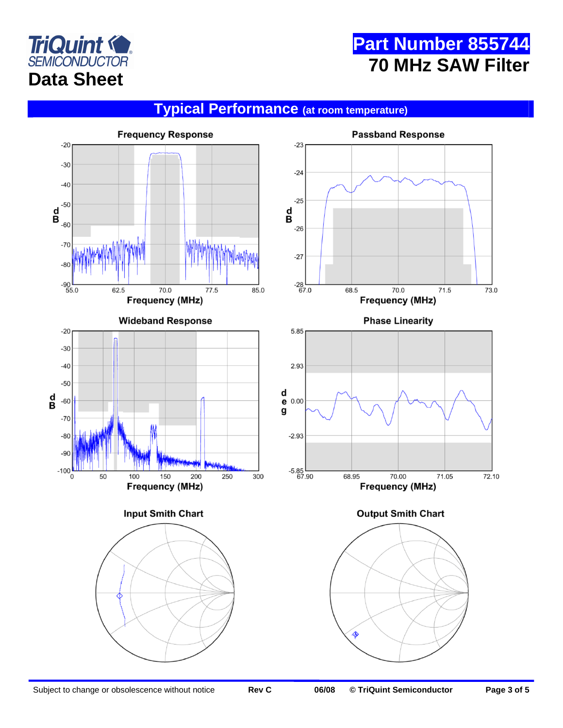



# **Typical Performance (at room temperature)**

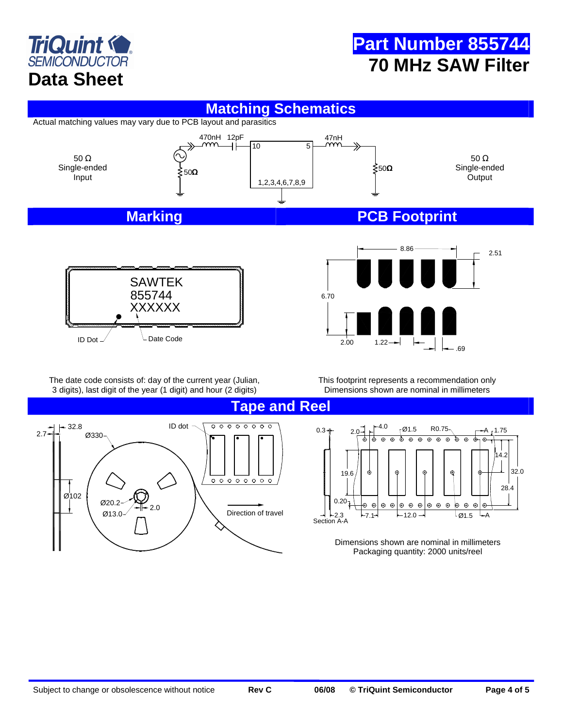



## **Matching Schematics**

Actual matching values may vary due to PCB layout and parasitics



The date code consists of: day of the current year (Julian, 3 digits), last digit of the year (1 digit) and hour (2 digits)

This footprint represents a recommendation only Dimensions shown are nominal in millimeters

**Tape and Reel** 



0.3  $+$  2.0  $+$   $+$   $+$  4.0 Ø1.5 R0.75 A  $\overline{\Theta}$ 14.2 32.0 19.6 28.4 0.20  $\odot$  $\Theta$  $\oplus$  $\boldsymbol{\Theta}$  $\boldsymbol{\Theta}$ Θ  $\Theta$  $\ddot{r}$  $\odot$  $\oplus$  $\Theta$  $\epsilon$ lə,  $-2.3$   $-7.1$   $-12.0$  $-7.1$  $\mathsf{I}\,$ Ø1.5 A Section A-A

> Dimensions shown are nominal in millimeters Packaging quantity: 2000 units/reel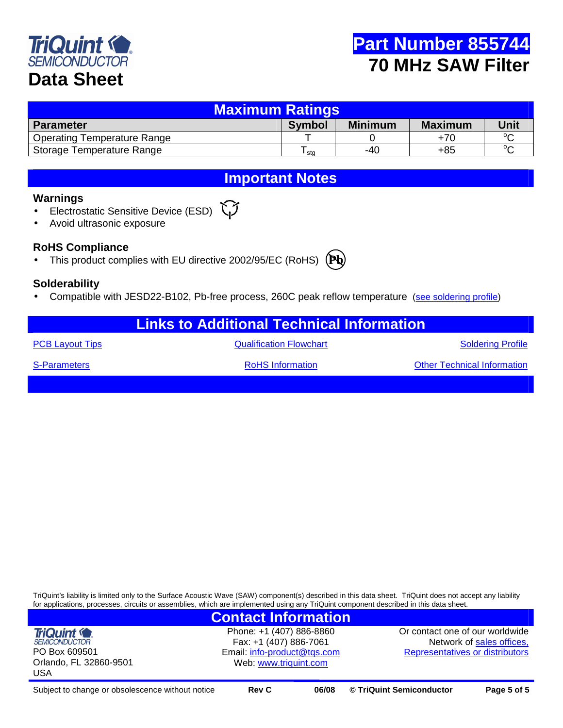

| <b>Maximum Ratings</b>             |               |                |                |          |  |  |
|------------------------------------|---------------|----------------|----------------|----------|--|--|
| <b>Parameter</b>                   | <b>Symbol</b> | <b>Minimum</b> | <b>Maximum</b> | Unit     |  |  |
| <b>Operating Temperature Range</b> |               |                | $+70$          | $\sim$   |  |  |
| Storage Temperature Range          | sta           | -40            | $+85$          | $\Omega$ |  |  |

**Important Notes** 

#### **Warnings**

- Electrostatic Sensitive Device (ESD)
- Avoid ultrasonic exposure

### **RoHS Compliance**

• This product complies with EU directive 2002/95/EC (RoHS)



### **Solderability**

Compatible with JESD22-B102, Pb-free process, 260C peak reflow temperature (see soldering profile)

| <b>Links to Additional Technical Information</b> |                                |                                    |  |  |  |
|--------------------------------------------------|--------------------------------|------------------------------------|--|--|--|
| <b>PCB Layout Tips</b>                           | <b>Qualification Flowchart</b> | <b>Soldering Profile</b>           |  |  |  |
| <b>S-Parameters</b>                              | <b>RoHS</b> Information        | <b>Other Technical Information</b> |  |  |  |
|                                                  |                                |                                    |  |  |  |

TriQuint's liability is limited only to the Surface Acoustic Wave (SAW) component(s) described in this data sheet. TriQuint does not accept any liability for applications, processes, circuits or assemblies, which are implemented using any TriQuint component described in this data sheet.

### **Contact Information**

**TriQuint (C) SEMICONDUCTOR** PO Box 609501 Orlando, FL 32860-9501 USA

Phone: +1 (407) 886-8860 Fax: +1 (407) 886-7061 Email: info-product@tqs.com Web: www.triquint.com

Or contact one of our worldwide Network of sales offices, Representatives or distributors

Subject to change or obsolescence without notice **Rev C 06/08 © TriQuint Semiconductor Page 5 of 5**